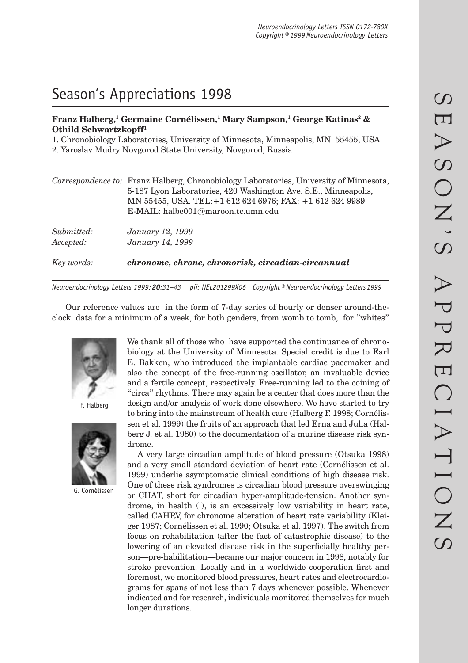# Season's Appreciations 1998

# **Franz Halberg,1 Germaine Cornélissen,1 Mary Sampson,1 George Katinas2 & Othild Schwartzkopff1**

1. Chronobiology Laboratories, University of Minnesota, Minneapolis, MN 55455, USA

2. Yaroslav Mudry Novgorod State University, Novgorod, Russia

|                         | Correspondence to: Franz Halberg, Chronobiology Laboratories, University of Minnesota,<br>5-187 Lyon Laboratories, 420 Washington Ave. S.E., Minneapolis,<br>MN 55455, USA. TEL: +1 612 624 6976; FAX: +1 612 624 9989<br>E-MAIL: halbe001@maroon.tc.umn.edu |
|-------------------------|--------------------------------------------------------------------------------------------------------------------------------------------------------------------------------------------------------------------------------------------------------------|
| Submitted:<br>Accepted: | January 12, 1999<br>January 14, 1999                                                                                                                                                                                                                         |
| Key words:              | chronome, chrone, chronorisk, circadian-circannual                                                                                                                                                                                                           |

*Neuroendocrinology Letters 1999; 20:31–43 pii: NEL201299X06 Copyright © Neuroendocrinology Letters 1999*

Our reference values are in the form of 7-day series of hourly or denser around-theclock data for a minimum of a week, for both genders, from womb to tomb, for "whites"



F. Halberg



G. Cornélissen

We thank all of those who have supported the continuance of chronobiology at the University of Minnesota. Special credit is due to Earl E. Bakken, who introduced the implantable cardiac pacemaker and also the concept of the free-running oscillator, an invaluable device and a fertile concept, respectively. Free-running led to the coining of "circa" rhythms. There may again be a center that does more than the design and/or analysis of work done elsewhere. We have started to try to bring into the mainstream of health care (Halberg F. 1998; Cornélissen et al. 1999) the fruits of an approach that led Erna and Julia (Halberg J. et al. 1980) to the documentation of a murine disease risk syndrome.

A very large circadian amplitude of blood pressure (Otsuka 1998) and a very small standard deviation of heart rate (Cornélissen et al. 1999) underlie asymptomatic clinical conditions of high disease risk. One of these risk syndromes is circadian blood pressure overswinging or CHAT, short for circadian hyper-amplitude-tension. Another syndrome, in health (!), is an excessively low variability in heart rate, called CAHRV, for chronome alteration of heart rate variability (Kleiger 1987; Cornélissen et al. 1990; Otsuka et al. 1997). The switch from focus on rehabilitation (after the fact of catastrophic disease) to the lowering of an elevated disease risk in the superficially healthy person—pre-habilitation—became our major concern in 1998, notably for stroke prevention. Locally and in a worldwide cooperation first and foremost, we monitored blood pressures, heart rates and electrocardiograms for spans of not less than 7 days whenever possible. Whenever indicated and for research, individuals monitored themselves for much longer durations.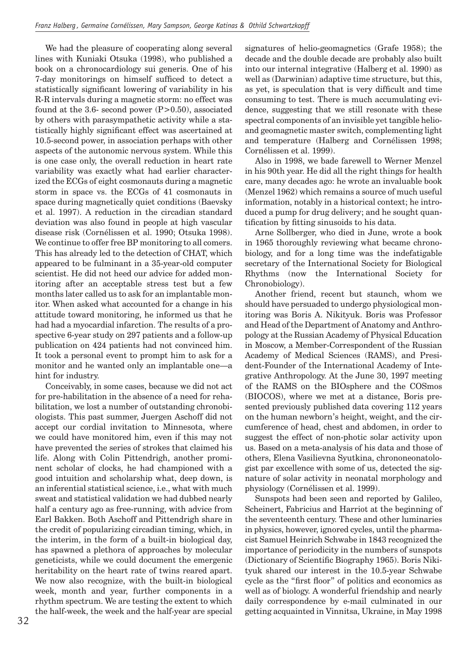We had the pleasure of cooperating along several lines with Kuniaki Otsuka (1998), who published a book on a chronocardiology sui generis. One of his 7-day monitorings on himself sufficed to detect a statistically significant lowering of variability in his R-R intervals during a magnetic storm: no effect was found at the 3.6- second power  $(P>0.50)$ , associated by others with parasympathetic activity while a statistically highly significant effect was ascertained at 10.5-second power, in association perhaps with other aspects of the autonomic nervous system. While this is one case only, the overall reduction in heart rate variability was exactly what had earlier characterized the ECGs of eight cosmonauts during a magnetic storm in space vs. the ECGs of 41 cosmonauts in space during magnetically quiet conditions (Baevsky et al. 1997). A reduction in the circadian standard deviation was also found in people at high vascular disease risk (Cornélissen et al. 1990; Otsuka 1998). We continue to offer free BP monitoring to all comers. This has already led to the detection of CHAT, which appeared to be fulminant in a 35-year-old computer scientist. He did not heed our advice for added monitoring after an acceptable stress test but a few months later called us to ask for an implantable monitor. When asked what accounted for a change in his attitude toward monitoring, he informed us that he had had a myocardial infarction. The results of a prospective 6-year study on 297 patients and a follow-up publication on 424 patients had not convinced him. It took a personal event to prompt him to ask for a monitor and he wanted only an implantable one—a hint for industry.

Conceivably, in some cases, because we did not act for pre-habilitation in the absence of a need for rehabilitation, we lost a number of outstanding chronobiologists. This past summer, Juergen Aschoff did not accept our cordial invitation to Minnesota, where we could have monitored him, even if this may not have prevented the series of strokes that claimed his life. Along with Colin Pittendrigh, another prominent scholar of clocks, he had championed with a good intuition and scholarship what, deep down, is an inferential statistical science, i.e., what with much sweat and statistical validation we had dubbed nearly half a century ago as free-running, with advice from Earl Bakken. Both Aschoff and Pittendrigh share in the credit of popularizing circadian timing, which, in the interim, in the form of a built-in biological day, has spawned a plethora of approaches by molecular geneticists, while we could document the emergenic heritability on the heart rate of twins reared apart. We now also recognize, with the built-in biological week, month and year, further components in a rhythm spectrum. We are testing the extent to which the half-week, the week and the half-year are special signatures of helio-geomagnetics (Grafe 1958); the decade and the double decade are probably also built into our internal integrative (Halberg et al. 1990) as well as (Darwinian) adaptive time structure, but this, as yet, is speculation that is very difficult and time consuming to test. There is much accumulating evidence, suggesting that we still resonate with these spectral components of an invisible yet tangible helioand geomagnetic master switch, complementing light and temperature (Halberg and Cornélissen 1998; Cornélissen et al. 1999).

Also in 1998, we bade farewell to Werner Menzel in his 90th year. He did all the right things for health care, many decades ago: he wrote an invaluable book (Menzel 1962) which remains a source of much useful information, notably in a historical context; he introduced a pump for drug delivery; and he sought quantification by fitting sinusoids to his data.

Arne Sollberger, who died in June, wrote a book in 1965 thoroughly reviewing what became chronobiology, and for a long time was the indefatigable secretary of the International Society for Biological Rhythms (now the International Society for Chronobiology).

Another friend, recent but staunch, whom we should have persuaded to undergo physiological monitoring was Boris A. Nikityuk. Boris was Professor and Head of the Department of Anatomy and Anthropology at the Russian Academy of Physical Education in Moscow, a Member-Correspondent of the Russian Academy of Medical Sciences (RAMS), and President-Founder of the International Academy of Integrative Anthropology. At the June 30, 1997 meeting of the RAMS on the BIOsphere and the COSmos (BIOCOS), where we met at a distance, Boris presented previously published data covering 112 years on the human newborn's height, weight, and the circumference of head, chest and abdomen, in order to suggest the effect of non-photic solar activity upon us. Based on a meta-analysis of his data and those of others, Elena Vasilievna Syutkina, chrononeonatologist par excellence with some of us, detected the signature of solar activity in neonatal morphology and physiology (Cornélissen et al. 1999).

Sunspots had been seen and reported by Galileo, Scheinert, Fabricius and Harriot at the beginning of the seventeenth century. These and other luminaries in physics, however, ignored cycles, until the pharmacist Samuel Heinrich Schwabe in 1843 recognized the importance of periodicity in the numbers of sunspots (Dictionary of Scientific Biography 1965). Boris Nikityuk shared our interest in the 10.5-year Schwabe cycle as the "first floor" of politics and economics as well as of biology. A wonderful friendship and nearly daily correspondence by e-mail culminated in our getting acquainted in Vinnitsa, Ukraine, in May 1998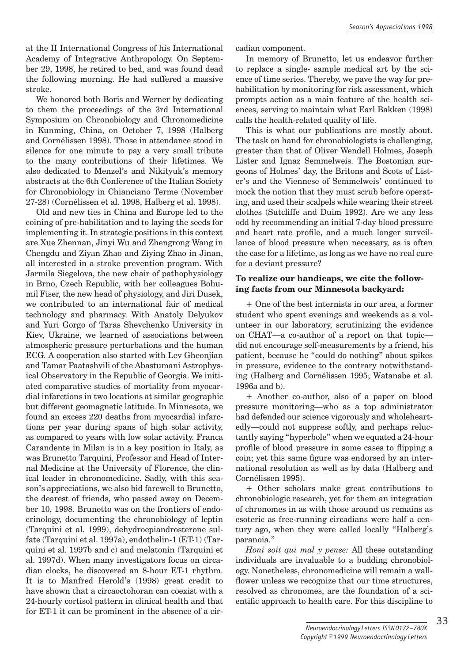at the II International Congress of his International Academy of Integrative Anthropology. On September 29, 1998, he retired to bed, and was found dead the following morning. He had suffered a massive stroke.

We honored both Boris and Werner by dedicating to them the proceedings of the 3rd International Symposium on Chronobiology and Chronomedicine in Kunming, China, on October 7, 1998 (Halberg and Cornélissen 1998). Those in attendance stood in silence for one minute to pay a very small tribute to the many contributions of their lifetimes. We also dedicated to Menzel's and Nikityuk's memory abstracts at the 6th Conference of the Italian Society for Chronobiology in Chianciano Terme (November 27-28) (Cornélissen et al. 1998, Halberg et al. 1998).

Old and new ties in China and Europe led to the coining of pre-habilitation and to laying the seeds for implementing it. In strategic positions in this context are Xue Zhennan, Jinyi Wu and Zhengrong Wang in Chengdu and Ziyan Zhao and Ziying Zhao in Jinan, all interested in a stroke prevention program. With Jarmila Siegelova, the new chair of pathophysiology in Brno, Czech Republic, with her colleagues Bohumil Fiser, the new head of physiology, and Jiri Dusek, we contributed to an international fair of medical technology and pharmacy. With Anatoly Delyukov and Yuri Gorgo of Taras Shevchenko University in Kiev, Ukraine, we learned of associations between atmospheric pressure perturbations and the human ECG. A cooperation also started with Lev Gheonjian and Tamar Paatashvili of the Abastumani Astrophysical Observatory in the Republic of Georgia. We initiated comparative studies of mortality from myocardial infarctions in two locations at similar geographic but different geomagnetic latitude. In Minnesota, we found an excess 220 deaths from myocardial infarctions per year during spans of high solar activity, as compared to years with low solar activity. Franca Carandente in Milan is in a key position in Italy, as was Brunetto Tarquini, Professor and Head of Internal Medicine at the University of Florence, the clinical leader in chronomedicine. Sadly, with this season's appreciations, we also bid farewell to Brunetto, the dearest of friends, who passed away on December 10, 1998. Brunetto was on the frontiers of endocrinology, documenting the chronobiology of leptin (Tarquini et al. 1999), dehydroepiandrosterone sulfate (Tarquini et al. 1997a), endothelin-1 (ET-1) (Tarquini et al. 1997b and c) and melatonin (Tarquini et al. 1997d). When many investigators focus on circadian clocks, he discovered an 8-hour ET-1 rhythm. It is to Manfred Herold's (1998) great credit to have shown that a circaoctohoran can coexist with a 24-hourly cortisol pattern in clinical health and that for ET-1 it can be prominent in the absence of a circadian component.

In memory of Brunetto, let us endeavor further to replace a single- sample medical art by the science of time series. Thereby, we pave the way for prehabilitation by monitoring for risk assessment, which prompts action as a main feature of the health sciences, serving to maintain what Earl Bakken (1998) calls the health-related quality of life.

This is what our publications are mostly about. The task on hand for chronobiologists is challenging, greater than that of Oliver Wendell Holmes, Joseph Lister and Ignaz Semmelweis. The Bostonian surgeons of Holmes' day, the Britons and Scots of Lister's and the Viennese of Semmelweis' continued to mock the notion that they must scrub before operating, and used their scalpels while wearing their street clothes (Sutcliffe and Duim 1992). Are we any less odd by recommending an initial 7-day blood pressure and heart rate profile, and a much longer surveillance of blood pressure when necessary, as is often the case for a lifetime, as long as we have no real cure for a deviant pressure?

## **To realize our handicaps, we cite the following facts from our Minnesota backyard:**

+ One of the best internists in our area, a former student who spent evenings and weekends as a volunteer in our laboratory, scrutinizing the evidence on CHAT—a co-author of a report on that topic did not encourage self-measurements by a friend, his patient, because he "could do nothing" about spikes in pressure, evidence to the contrary notwithstanding (Halberg and Cornélissen 1995; Watanabe et al. 1996a and b).

+ Another co-author, also of a paper on blood pressure monitoring—who as a top administrator had defended our science vigorously and wholeheartedly—could not suppress softly, and perhaps reluctantly saying "hyperbole" when we equated a 24-hour profile of blood pressure in some cases to flipping a coin; yet this same figure was endorsed by an international resolution as well as by data (Halberg and Cornélissen 1995).

+ Other scholars make great contributions to chronobiologic research, yet for them an integration of chronomes in as with those around us remains as esoteric as free-running circadians were half a century ago, when they were called locally "Halberg's paranoia."

*Honi soit qui mal y pense:* All these outstanding individuals are invaluable to a budding chronobiology. Nonetheless, chronomedicine will remain a wallflower unless we recognize that our time structures, resolved as chronomes, are the foundation of a scientific approach to health care. For this discipline to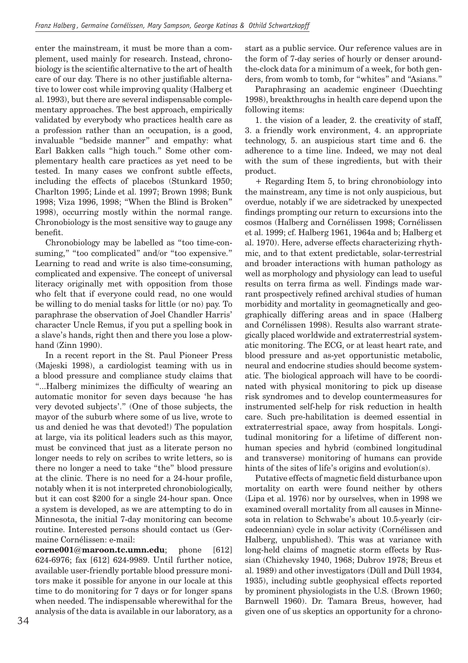enter the mainstream, it must be more than a complement, used mainly for research. Instead, chronobiology is the scientific alternative to the art of health care of our day. There is no other justifiable alternative to lower cost while improving quality (Halberg et al. 1993), but there are several indispensable complementary approaches. The best approach, empirically validated by everybody who practices health care as a profession rather than an occupation, is a good, invaluable "bedside manner" and empathy: what Earl Bakken calls "high touch." Some other complementary health care practices as yet need to be tested. In many cases we confront subtle effects, including the effects of placebos (Stunkard 1950; Charlton 1995; Linde et al. 1997; Brown 1998; Bunk 1998; Viza 1996, 1998; "When the Blind is Broken" 1998), occurring mostly within the normal range. Chronobiology is the most sensitive way to gauge any benefit.

Chronobiology may be labelled as "too time-consuming," "too complicated" and/or "too expensive." Learning to read and write is also time-consuming, complicated and expensive. The concept of universal literacy originally met with opposition from those who felt that if everyone could read, no one would be willing to do menial tasks for little (or no) pay. To paraphrase the observation of Joel Chandler Harris' character Uncle Remus, if you put a spelling book in a slave's hands, right then and there you lose a plowhand (Zinn 1990).

In a recent report in the St. Paul Pioneer Press (Majeski 1998), a cardiologist teaming with us in a blood pressure and compliance study claims that "...Halberg minimizes the difficulty of wearing an automatic monitor for seven days because 'he has very devoted subjects'." (One of those subjects, the mayor of the suburb where some of us live, wrote to us and denied he was that devoted!) The population at large, via its political leaders such as this mayor, must be convinced that just as a literate person no longer needs to rely on scribes to write letters, so is there no longer a need to take "the" blood pressure at the clinic. There is no need for a 24-hour profile, notably when it is not interpreted chronobiologically, but it can cost \$200 for a single 24-hour span. Once a system is developed, as we are attempting to do in Minnesota, the initial 7-day monitoring can become routine. Interested persons should contact us (Germaine Cornélissen: e-mail:

**corne001@maroon.tc.umn.edu**; phone [612] 624-6976; fax [612] 624-9989. Until further notice, available user-friendly portable blood pressure monitors make it possible for anyone in our locale at this time to do monitoring for 7 days or for longer spans when needed. The indispensable wherewithal for the analysis of the data is available in our laboratory, as a start as a public service. Our reference values are in the form of 7-day series of hourly or denser aroundthe-clock data for a minimum of a week, for both genders, from womb to tomb, for "whites" and "Asians."

Paraphrasing an academic engineer (Duechting 1998), breakthroughs in health care depend upon the following items:

1. the vision of a leader, 2. the creativity of staff, 3. a friendly work environment, 4. an appropriate technology, 5. an auspicious start time and 6. the adherence to a time line. Indeed, we may not deal with the sum of these ingredients, but with their product.

+ Regarding Item 5, to bring chronobiology into the mainstream, any time is not only auspicious, but overdue, notably if we are sidetracked by unexpected findings prompting our return to excursions into the cosmos (Halberg and Cornélissen 1998; Cornélissen et al. 1999; cf. Halberg 1961, 1964a and b; Halberg et al. 1970). Here, adverse effects characterizing rhythmic, and to that extent predictable, solar-terrestrial and broader interactions with human pathology as well as morphology and physiology can lead to useful results on terra firma as well. Findings made warrant prospectively refined archival studies of human morbidity and mortality in geomagnetically and geographically differing areas and in space (Halberg and Cornélissen 1998). Results also warrant strategically placed worldwide and extraterrestrial systematic monitoring. The ECG, or at least heart rate, and blood pressure and as-yet opportunistic metabolic, neural and endocrine studies should become systematic. The biological approach will have to be coordinated with physical monitoring to pick up disease risk syndromes and to develop countermeasures for instrumented self-help for risk reduction in health care. Such pre-habilitation is deemed essential in extraterrestrial space, away from hospitals. Longitudinal monitoring for a lifetime of different nonhuman species and hybrid (combined longitudinal and transverse) monitoring of humans can provide hints of the sites of life's origins and evolution(s).

Putative effects of magnetic field disturbance upon mortality on earth were found neither by others (Lipa et al. 1976) nor by ourselves, when in 1998 we examined overall mortality from all causes in Minnesota in relation to Schwabe's about 10.5-yearly (circadecennian) cycle in solar activity (Cornélissen and Halberg, unpublished). This was at variance with long-held claims of magnetic storm effects by Russian (Chizhevsky 1940, 1968; Dubrov 1978; Breus et al. 1989) and other investigators (Düll and Düll 1934, 1935), including subtle geophysical effects reported by prominent physiologists in the U.S. (Brown 1960; Barnwell 1960). Dr. Tamara Breus, however, had given one of us skeptics an opportunity for a chrono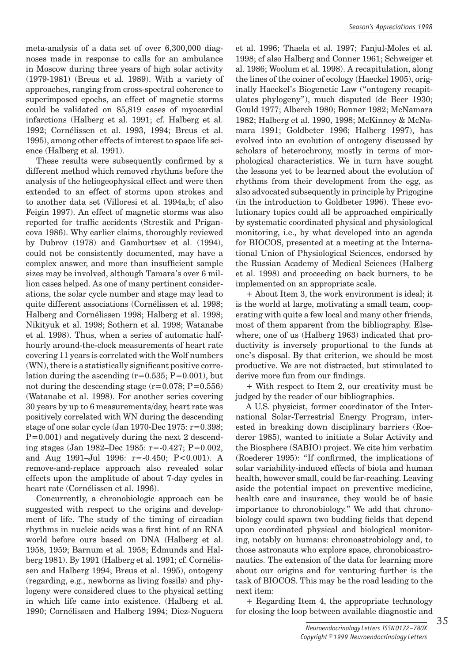meta-analysis of a data set of over 6,300,000 diagnoses made in response to calls for an ambulance in Moscow during three years of high solar activity (1979-1981) (Breus et al. 1989). With a variety of approaches, ranging from cross-spectral coherence to superimposed epochs, an effect of magnetic storms could be validated on 85,819 cases of myocardial infarctions (Halberg et al. 1991; cf. Halberg et al. 1992; Cornélissen et al. 1993, 1994; Breus et al. 1995), among other effects of interest to space life science (Halberg et al. 1991).

These results were subsequently confirmed by a different method which removed rhythms before the analysis of the heliogeophysical effect and were then extended to an effect of storms upon strokes and to another data set (Villoresi et al. 1994a,b; cf also Feigin 1997). An effect of magnetic storms was also reported for traffic accidents (Strestik and Prigancova 1986). Why earlier claims, thoroughly reviewed by Dubrov (1978) and Gamburtsev et al. (1994), could not be consistently documented, may have a complex answer, and more than insufficient sample sizes may be involved, although Tamara's over 6 million cases helped. As one of many pertinent considerations, the solar cycle number and stage may lead to quite different associations (Cornélissen et al. 1998; Halberg and Cornélissen 1998; Halberg et al. 1998; Nikityuk et al. 1998; Sothern et al. 1998; Watanabe et al. 1998). Thus, when a series of automatic halfhourly around-the-clock measurements of heart rate covering 11 years is correlated with the Wolf numbers  $(WN)$ , there is a statistically significant positive correlation during the ascending  $(r=0.535; P=0.001)$ , but not during the descending stage  $(r=0.078; P=0.556)$ (Watanabe et al. 1998). For another series covering 30 years by up to 6 measurements/day, heart rate was positively correlated with WN during the descending stage of one solar cycle (Jan 1970-Dec 1975: r=0.398;  $P=0.001$ ) and negatively during the next 2 descending stages (Jan 1982–Dec 1985: r=-0.427; P=0.002, and Aug 1991–Jul 1996: r=-0.450; P<0.001). A remove-and-replace approach also revealed solar effects upon the amplitude of about 7-day cycles in heart rate (Cornélissen et al. 1996).

Concurrently, a chronobiologic approach can be suggested with respect to the origins and development of life. The study of the timing of circadian rhythms in nucleic acids was a first hint of an RNA world before ours based on DNA (Halberg et al. 1958, 1959; Barnum et al. 1958; Edmunds and Halberg 1981). By 1991 (Halberg et al. 1991; cf. Cornélissen and Halberg 1994; Breus et al. 1995), ontogeny (regarding, e.g., newborns as living fossils) and phylogeny were considered clues to the physical setting in which life came into existence. (Halberg et al. 1990; Cornélissen and Halberg 1994; Diez-Noguera

et al. 1996; Thaela et al. 1997; Fanjul-Moles et al. 1998; cf also Halberg and Conner 1961; Schweiger et al. 1986; Woolum et al. 1998). A recapitulation, along the lines of the coiner of ecology (Haeckel 1905), originally Haeckel's Biogenetic Law ("ontogeny recapitulates phylogeny"), much disputed (de Beer 1930; Gould 1977; Alberch 1980; Bonner 1982; McNamara 1982; Halberg et al. 1990, 1998; McKinney & McNamara 1991; Goldbeter 1996; Halberg 1997), has evolved into an evolution of ontogeny discussed by scholars of heterochrony, mostly in terms of morphological characteristics. We in turn have sought the lessons yet to be learned about the evolution of rhythms from their development from the egg, as also advocated subsequently in principle by Prigogine (in the introduction to Goldbeter 1996). These evolutionary topics could all be approached empirically by systematic coordinated physical and physiological monitoring, i.e., by what developed into an agenda for BIOCOS, presented at a meeting at the International Union of Physiological Sciences, endorsed by the Russian Academy of Medical Sciences (Halberg et al. 1998) and proceeding on back burners, to be implemented on an appropriate scale.

+ About Item 3, the work environment is ideal; it is the world at large, motivating a small team, cooperating with quite a few local and many other friends, most of them apparent from the bibliography. Elsewhere, one of us (Halberg 1963) indicated that productivity is inversely proportional to the funds at one's disposal. By that criterion, we should be most productive. We are not distracted, but stimulated to derive more fun from our findings.

+ With respect to Item 2, our creativity must be judged by the reader of our bibliographies.

A U.S. physicist, former coordinator of the International Solar-Terrestrial Energy Program, interested in breaking down disciplinary barriers (Roederer 1985), wanted to initiate a Solar Activity and the Biosphere (SABIO) project. We cite him verbatim (Roederer 1995): "If confirmed, the implications of solar variability-induced effects of biota and human health, however small, could be far-reaching. Leaving aside the potential impact on preventive medicine, health care and insurance, they would be of basic importance to chronobiology." We add that chronobiology could spawn two budding fields that depend upon coordinated physical and biological monitoring, notably on humans: chronoastrobiology and, to those astronauts who explore space, chronobioastronautics. The extension of the data for learning more about our origins and for venturing further is the task of BIOCOS. This may be the road leading to the next item:

+ Regarding Item 4, the appropriate technology for closing the loop between available diagnostic and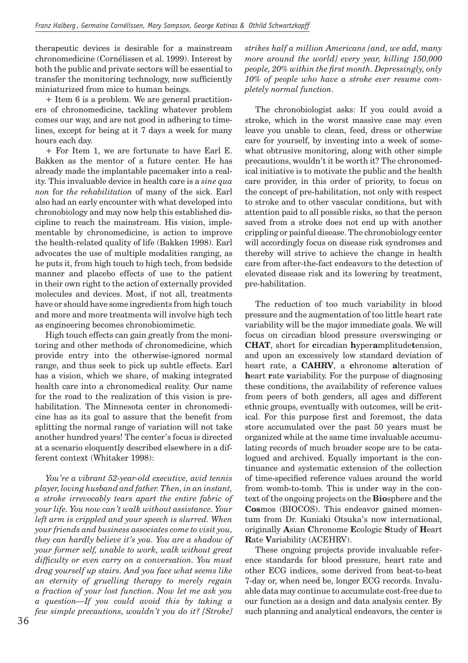therapeutic devices is desirable for a mainstream chronomedicine (Cornélissen et al. 1999). Interest by both the public and private sectors will be essential to transfer the monitoring technology, now sufficiently miniaturized from mice to human beings.

+ Item 6 is a problem. We are general practitioners of chronomedicine, tackling whatever problem comes our way, and are not good in adhering to timelines, except for being at it 7 days a week for many hours each day.

+ For Item 1, we are fortunate to have Earl E. Bakken as the mentor of a future center. He has already made the implantable pacemaker into a reality. This invaluable device in health care is a *sine qua non* for *the rehabilitation* of many of the sick. Earl also had an early encounter with what developed into chronobiology and may now help this established discipline to reach the mainstream. His vision, implementable by chronomedicine, is action to improve the health-related quality of life (Bakken 1998). Earl advocates the use of multiple modalities ranging, as he puts it, from high touch to high tech, from bedside manner and placebo effects of use to the patient in their own right to the action of externally provided molecules and devices. Most, if not all, treatments have or should have some ingredients from high touch and more and more treatments will involve high tech as engineering becomes chronobiomimetic.

High touch effects can gain greatly from the monitoring and other methods of chronomedicine, which provide entry into the otherwise-ignored normal range, and thus seek to pick up subtle effects. Earl has a vision, which we share, of making integrated health care into a chronomedical reality. Our name for the road to the realization of this vision is prehabilitation. The Minnesota center in chronomedicine has as its goal to assure that the benefit from splitting the normal range of variation will not take another hundred years! The center's focus is directed at a scenario eloquently described elsewhere in a different context (Whitaker 1998):

*You're a vibrant 52-year-old executive, avid tennis player, loving husband and father. Then, in an instant, a stroke irrevocably tears apart the entire fabric of your life. You now can't walk without assistance. Your left arm is crippled and your speech is slurred. When your friends and business associates come to visit you, they can hardly believe it's you. You are a shadow of your former self, unable to work, walk without great difficulty or even carry on a conversation. You must drag yourself up stairs. And you face what seems like an eternity of gruelling therapy to merely regain a fraction of your lost function. Now let me ask you a question—If you could avoid this by taking a few simple precautions, wouldn't you do it? [Stroke]* 

*strikes half a million Americans [and, we add, many more around the world] every year, killing 150,000 people, 20% within the first month. Depressingly, only 10% of people who have a stroke ever resume completely normal function.* 

The chronobiologist asks: If you could avoid a stroke, which in the worst massive case may even leave you unable to clean, feed, dress or otherwise care for yourself, by investing into a week of somewhat obtrusive monitoring, along with other simple precautions, wouldn't it be worth it? The chronomedical initiative is to motivate the public and the health care provider, in this order of priority, to focus on the concept of pre-habilitation, not only with respect to stroke and to other vascular conditions, but with attention paid to all possible risks, so that the person saved from a stroke does not end up with another crippling or painful disease. The chronobiology center will accordingly focus on disease risk syndromes and thereby will strive to achieve the change in health care from after-the-fact endeavors to the detection of elevated disease risk and its lowering by treatment, pre-habilitation.

The reduction of too much variability in blood pressure and the augmentation of too little heart rate variability will be the major immediate goals. We will focus on circadian blood pressure overswinging or **CHAT**, short for **c**ircadian **h**yper**a**mplitude**t**ension, and upon an excessively low standard deviation of heart rate, a **CAHRV**, a **c**hronome **a**lteration of **h**eart **r**ate **v**ariability. For the purpose of diagnosing these conditions, the availability of reference values from peers of both genders, all ages and different ethnic groups, eventually with outcomes, will be critical. For this purpose first and foremost, the data store accumulated over the past 50 years must be organized while at the same time invaluable accumulating records of much broader scope are to be catalogued and archived. Equally important is the continuance and systematic extension of the collection of time-specified reference values around the world from womb-to-tomb. This is under way in the context of the ongoing projects on the **Bio**sphere and the **Cos**mos (BIOCOS). This endeavor gained momentum from Dr. Kuniaki Otsuka's now international, originally **A**sian **C**hronome **E**cologic **S**tudy of **H**eart **R**ate **V**ariability (ACEHRV).

These ongoing projects provide invaluable reference standards for blood pressure, heart rate and other ECG indices, some derived from beat-to-beat 7-day or, when need be, longer ECG records. Invaluable data may continue to accumulate cost-free due to our function as a design and data analysis center. By such planning and analytical endeavors, the center is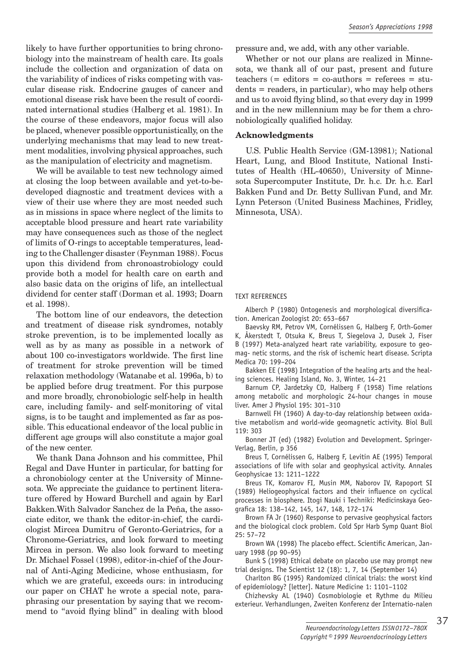likely to have further opportunities to bring chronobiology into the mainstream of health care. Its goals include the collection and organization of data on the variability of indices of risks competing with vascular disease risk. Endocrine gauges of cancer and emotional disease risk have been the result of coordinated international studies (Halberg et al. 1981). In the course of these endeavors, major focus will also be placed, whenever possible opportunistically, on the underlying mechanisms that may lead to new treatment modalities, involving physical approaches, such as the manipulation of electricity and magnetism.

We will be available to test new technology aimed at closing the loop between available and yet-to-bedeveloped diagnostic and treatment devices with a view of their use where they are most needed such as in missions in space where neglect of the limits to acceptable blood pressure and heart rate variability may have consequences such as those of the neglect of limits of O-rings to acceptable temperatures, leading to the Challenger disaster (Feynman 1988). Focus upon this dividend from chronoastrobiology could provide both a model for health care on earth and also basic data on the origins of life, an intellectual dividend for center staff (Dorman et al. 1993; Doarn et al. 1998).

The bottom line of our endeavors, the detection and treatment of disease risk syndromes, notably stroke prevention, is to be implemented locally as well as by as many as possible in a network of about 100 co-investigators worldwide. The first line of treatment for stroke prevention will be timed relaxation methodology (Watanabe et al. 1996a, b) to be applied before drug treatment. For this purpose and more broadly, chronobiologic self-help in health care, including family- and self-monitoring of vital signs, is to be taught and implemented as far as possible. This educational endeavor of the local public in different age groups will also constitute a major goal of the new center.

We thank Dana Johnson and his committee, Phil Regal and Dave Hunter in particular, for batting for a chronobiology center at the University of Minnesota. We appreciate the guidance to pertinent literature offered by Howard Burchell and again by Earl Bakken.With Salvador Sanchez de la Peña, the associate editor, we thank the editor-in-chief, the cardiologist Mircea Dumitru of Geronto-Geriatrics, for a Chronome-Geriatrics, and look forward to meeting Mircea in person. We also look forward to meeting Dr. Michael Fossel (1998), editor-in-chief of the Journal of Anti-Aging Medicine, whose enthusiasm, for which we are grateful, exceeds ours: in introducing our paper on CHAT he wrote a special note, paraphrasing our presentation by saying that we recommend to "avoid flying blind" in dealing with blood

pressure and, we add, with any other variable.

Whether or not our plans are realized in Minnesota, we thank all of our past, present and future  $teaches (= editors = co-authors = references = stu$ dents = readers, in particular), who may help others and us to avoid flying blind, so that every day in 1999 and in the new millennium may be for them a chronobiologically qualified holiday.

## **Acknowledgments**

U.S. Public Health Service (GM-13981); National Heart, Lung, and Blood Institute, National Institutes of Health (HL-40650), University of Minnesota Supercomputer Institute, Dr. h.c. Dr. h.c. Earl Bakken Fund and Dr. Betty Sullivan Fund, and Mr. Lynn Peterson (United Business Machines, Fridley, Minnesota, USA).

### TEXT REFERENCES

Alberch P (1980) Ontogenesis and morphological diversification. American Zoologist 20: 653–667

Baevsky RM, Petrov VM, Cornélissen G, Halberg F, Orth-Gomer K, Åkerstedt T, Otsuka K, Breus T, Siegelova J, Dusek J, Fiser B (1997) Meta-analyzed heart rate variability, exposure to geomag- netic storms, and the risk of ischemic heart disease. Scripta Medica 70: 199–204

Bakken EE (1998) Integration of the healing arts and the healing sciences. Healing Island, No. 3, Winter, 14–21

Barnum CP, Jardetzky CD, Halberg F (1958) Time relations among metabolic and morphologic 24-hour changes in mouse liver. Amer J Physiol 195: 301–310

Barnwell FH (1960) A day-to-day relationship between oxidative metabolism and world-wide geomagnetic activity. Biol Bull 119: 303

Bonner JT (ed) (1982) Evolution and Development. Springer-Verlag, Berlin, p 356

Breus T, Cornélissen G, Halberg F, Levitin AE (1995) Temporal associations of life with solar and geophysical activity. Annales Geophysicae 13: 1211–1222

Breus TK, Komarov FI, Musin MM, Naborov IV, Rapoport SI (1989) Heliogeophysical factors and their influence on cyclical processes in biosphere. Itogi Nauki i Techniki: Medicinskaya Geografica 18: 138-142, 145, 147, 148, 172-174

Brown FA Jr (1960) Response to pervasive geophysical factors and the biological clock problem. Cold Spr Harb Symp Quant Biol 25: 57–72

Brown WA (1998) The placebo effect. Scientific American, January 1998 (pp 90–95)

Bunk S (1998) Ethical debate on placebo use may prompt new trial designs. The Scientist 12 (18): 1, 7, 14 (September 14)

Charlton BG (1995) Randomized clinical trials: the worst kind of epidemiology? [letter]. Nature Medicine 1: 1101–1102

Chizhevsky AL (1940) Cosmobiologie et Rythme du Milieu exterieur. Verhandlungen, Zweiten Konferenz der Internatio-nalen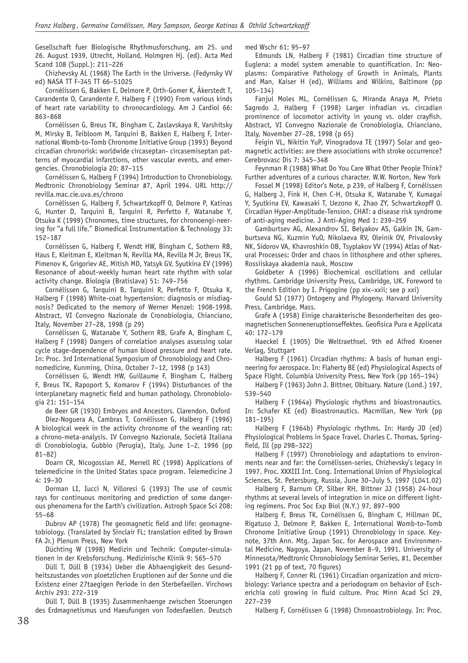Gesellschaft fuer Biologische Rhythmusforschung, am 25. und 26. August 1939, Utrecht, Holland, Holmgren Hj. (ed). Acta Med Scand 108 (Suppl.): 211–226

Chizhevsky AL (1968) The Earth in the Universe. (Fedynsky VV ed) NASA TT F-345 TT 66–51025

Cornélissen G, Bakken E, Delmore P, Orth-Gomer K, Åkerstedt T, Carandente O, Carandente F, Halberg F (1990) From various kinds of heart rate variability to chronocardiology. Am J Cardiol 66: 863–868

Cornélissen G, Breus TK, Bingham C, Zaslavskaya R, Varshitsky M, Mirsky B, Teibloom M, Tarquini B, Bakken E, Halberg F, International Womb-to-Tomb Chronome Initiative Group (1993) Beyond circadian chronorisk: worldwide circaseptan- circasemiseptan patterns of myocardial infarctions, other vascular events, and emergencies. Chronobiologia 20: 87–115

Cornélissen G, Halberg F (1994) Introduction to Chronobiology. Medtronic Chronobiology Seminar #7, April 1994. URL http:// revilla.mac.cie.uva.es/chrono

Cornélissen G, Halberg F, Schwartzkopff O, Delmore P, Katinas G, Hunter D, Tarquini B, Tarquini R, Perfetto F, Watanabe Y, Otsuka K (1999) Chronomes, time structures, for chronoengi-neering for "a full life." Biomedical Instrumentation & Technology 33: 152–187

Cornélissen G, Halberg F, Wendt HW, Bingham C, Sothern RB, Haus E, Kleitman E, Kleitman N, Revilla MA, Revilla M Jr, Breus TK, Pimenov K, Grigoriev AE, Mitish MD, Yatsyk GV, Syutkina EV (1996) Resonance of about-weekly human heart rate rhythm with solar activity change. Biologia (Bratislava) 51: 749–756

Cornélissen G, Tarquini B, Tarquini R, Perfetto F, Otsuka K, Halberg F (1998) White-coat hypertension: diagnosis or misdiagnosis? Dedicated to the memory of Werner Menzel: 1908-1998. Abstract, VI Convegno Nazionale de Cronobiologia, Chianciano, Italy, November 27–28, 1998 (p 29)

Cornélissen G, Watanabe Y, Sothern RB, Grafe A, Bingham C, Halberg F (1998) Dangers of correlation analyses assessing solar cycle stage-dependence of human blood pressure and heart rate. In: Proc. 3rd International Symposium of Chronobiology and Chronomedicine, Kunming, China, October 7–12, 1998 (p 143)

Cornélissen G, Wendt HW, Guillaume F, Bingham C, Halberg F, Breus TK, Rapoport S, Komarov F (1994) Disturbances of the interplanetary magnetic field and human pathology. Chronobiologia 21: 151–154

de Beer GR (1930) Embryos and Ancestors. Clarendon, Oxford Díez-Noguera A, Cambras T, Cornélissen G, Halberg F (1996)

A biological week in the activity chronome of the weanling rat: a chrono-meta-analysis. IV Convegno Nazionale, Società Italiana di Cronobiologia, Gubbio (Perugia), Italy, June 1–2, 1996 (pp 81–82)

Doarn CR, Nicogossian AE, Merrell RC (1998) Applications of telemedicine in the United States space program. Telemedicine J 4: 19–30

Dorman LI, Iucci N, Villoresi G (1993) The use of cosmic rays for continuous monitoring and prediction of some dangerous phenomena for the Earth's civilization. Astroph Space Sci 208: 55–68

Dubrov AP (1978) The geomagnetic field and life: geomagnetobiology. (Translated by Sinclair FL; translation edited by Brown FA Jr.) Plenum Press, New York

Düchting W (1998) Medizin und Technik: Computer-simulationen in der Krebsforschung. Medizinische Klinik 9: 565–570

Düll T, Düll B (1934) Ueber die Abhaengigkeit des Gesundheitszustandes von ploetzlichen Eruptionen auf der Sonne und die Existenz einer 27taegigen Periode in den Sterbefaellen. Virchows Archiv 293: 272–319

Düll T, Düll B (1935) Zusammenhaenge zwischen Stoerungen des Erdmagnetismus und Haeufungen von Todesfaellen. Deutsch med Wschr 61: 95–97

Edmunds LN, Halberg F (1981) Circadian time structure of Euglena: a model system amenable to quantification. In: Neoplasms: Comparative Pathology of Growth in Animals, Plants and Man, Kaiser H (ed), Williams and Wilkins, Baltimore (pp 105–134)

Fanjul Moles ML, Cornélissen G, Miranda Anaya M, Prieto Sagredo J, Halberg F (1998) Larger infradian vs. circadian prominence of locomotor activity in young vs. older crayfish. Abstract, VI Convegno Nazionale de Cronobiologia, Chianciano, Italy, November 27–28, 1998 (p 65)

Feigin VL, Nikitin YuP, Vinogradova TE (1997) Solar and geomagnetic activities: are there associations with stroke occurrence? Cerebrovasc Dis 7: 345–348

Feynman R (1988) What Do You Care What Other People Think? Further adventures of a curious character. W.W. Norton, New York

Fossel M (1998) Editor's Note, p 239, of Halberg F, Cornélissen G, Halberg J, Fink H, Chen C-H, Otsuka K, Watanabe Y, Kumagai Y, Syutkina EV, Kawasaki T, Uezono K, Zhao ZY, Schwartzkopff O. Circadian Hyper-Amplitude-Tension, CHAT: a disease risk syndrome of anti-aging medicine. J Anti-Aging Med 1: 239–259

Gamburtsev AG, Alexandrov SI, Belyakov AS, Galkin IN, Gamburtseva NG, Kuzmin YuO, Nikolaeva RV, Oleinik OV, Privalovsky NK, Sidorov VA, Khavroshkin OB, Tsyplakov VV (1994) Atlas of Natural Processes: Order and chaos in lithosphere and other spheres. Rossiiskaya akademia nauk, Moscow

Goldbeter A (1996) Biochemical oscillations and cellular rhythms. Cambridge University Press, Cambridge, UK. Foreword to the French Edition by I. Prigogine (pp xix–xxii; see p xxi)

Gould SJ (1977) Ontogeny and Phylogeny. Harvard University Press, Cambridge, Mass.

Grafe A (1958) Einige charakterische Besonderheiten des geomagnetischen Sonneneruptionseffektes. Geofisica Pura e Applicata 40: 172–179

Haeckel E (1905) Die Weltraethsel. 9th ed Alfred Kroener Verlag, Stuttgart

Halberg F (1961) Circadian rhythms: A basis of human engineering for aerospace. In: Flaherty BE (ed) Physiological Aspects of Space Flight. Columbia University Press, New York (pp 165–194)

Halberg F (1963) John J. Bittner, Obituary. Nature (Lond.) 197, 539–540

Halberg F (1964a) Physiologic rhythms and bioastronautics. In: Schafer KE (ed) Bioastronautics. Macmillan, New York (pp 181–195)

Halberg F (1964b) Physiologic rhythms. In: Hardy JD (ed) Physiological Problems in Space Travel. Charles C. Thomas, Springfield, Ill (pp 298-322)

Halberg F (1997) Chronobiology and adaptations to environments near and far: the Cornélissen-series, Chizhevsky's legacy in 1997. Proc. XXXIII Int. Cong. International Union of Physiological Sciences, St. Petersburg, Russia, June 30–July 5, 1997 (L041.02)

Halberg F, Barnum CP, Silber RH, Bittner JJ (1958) 24-hour rhythms at several levels of integration in mice on different lighting regimens. Proc Soc Exp Biol (N.Y.) 97, 897–900

Halberg F, Breus TK, Cornélissen G, Bingham C, Hillman DC, Rigatuso J, Delmore P, Bakken E, International Womb-to-Tomb Chronome Initiative Group (1991) Chronobiology in space. Keynote, 37th Ann. Mtg. Japan Soc. for Aerospace and Environmental Medicine, Nagoya, Japan, November 8–9, 1991. University of Minnesota/Medtronic Chronobiology Seminar Series, #1, December 1991 (21 pp of text, 70 figures)

Halberg F, Conner RL (1961) Circadian organization and microbiology: Variance spectra and a periodogram on behavior of Escherichia coli growing in fluid culture. Proc Minn Acad Sci 29, 227–239

Halberg F, Cornélissen G (1998) Chronoastrobiology. In: Proc.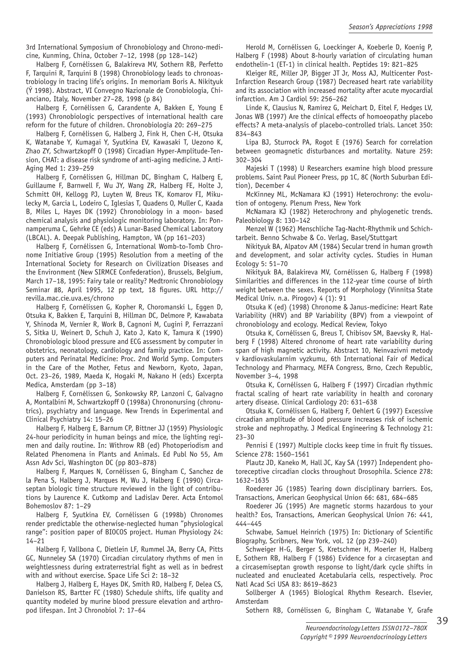3rd International Symposium of Chronobiology and Chrono-medicine, Kunming, China, October 7–12, 1998 (pp 128–142)

Halberg F, Cornélissen G, Balakireva MV, Sothern RB, Perfetto F, Tarquini R, Tarquini B (1998) Chronobiology leads to chronoastrobiology in tracing life's origins. In memoriam Boris A. Nikityuk (Ý 1998). Abstract, VI Convegno Nazionale de Cronobiologia, Chianciano, Italy, November 27–28, 1998 (p 84)

Halberg F, Cornélissen G, Carandente A, Bakken E, Young E (1993) Chronobiologic perspectives of international health care reform for the future of children. Chronobiologia 20: 269–275

Halberg F, Cornélissen G, Halberg J, Fink H, Chen C-H, Otsuka K, Watanabe Y, Kumagai Y, Syutkina EV, Kawasaki T, Uezono K, Zhao ZY, Schwartzkopff O (1998) Circadian Hyper-Amplitude-Tension, CHAT: a disease risk syndrome of anti-aging medicine. J Anti-Aging Med 1: 239–259

Halberg F, Cornélissen G, Hillman DC, Bingham C, Halberg E, Guillaume F, Barnwell F, Wu JY, Wang ZR, Halberg FE, Holte J, Schmitt OH, Kellogg PJ, Luyten W, Breus TK, Komarov FI, Mikulecky M, Garcia L, Lodeiro C, Iglesias T, Quadens O, Muller C, Kaada B, Miles L, Hayes DK (1992) Chronobiology in a moon- based chemical analysis and physiologic monitoring laboratory. In: Ponnamperuma C, Gehrke CE (eds) A Lunar-Based Chemical Laboratory (LBCAL). A. Deepak Publishing, Hampton, VA (pp 161–203)

Halberg F, Cornélissen G, International Womb-to-Tomb Chronome Initiative Group (1995) Resolution from a meeting of the International Society for Research on Civilization Diseases and the Environment (New SIRMCE Confederation), Brussels, Belgium, March 17–18, 1995: Fairy tale or reality? Medtronic Chronobiology Seminar #8, April 1995, 12 pp text, 18 figures. URL http:// revilla.mac.cie.uva.es/chrono

Halberg F, Cornélissen G, Kopher R, Choromanski L, Eggen D, Otsuka K, Bakken E, Tarquini B, Hillman DC, Delmore P, Kawabata Y, Shinoda M, Vernier R, Work B, Cagnoni M, Cugini P, Ferrazzani S, Sitka U, Weinert D, Schuh J, Kato J, Kato K, Tamura K (1990) Chronobiologic blood pressure and ECG assessment by computer in obstetrics, neonatology, cardiology and family practice. In: Computers and Perinatal Medicine: Proc. 2nd World Symp. Computers in the Care of the Mother, Fetus and Newborn, Kyoto, Japan, Oct. 23–26, 1989, Maeda K, Hogaki M, Nakano H (eds) Excerpta Medica, Amsterdam (pp 3–18)

Halberg F, Cornélissen G, Sonkowsky RP, Lanzoni C, Galvagno A, Montalbini M, Schwartzkopff O (1998a) Chrononursing (chronutrics), psychiatry and language. New Trends in Experimental and Clinical Psychiatry 14: 15–26

Halberg F, Halberg E, Barnum CP, Bittner JJ (1959) Physiologic 24-hour periodicity in human beings and mice, the lighting regimen and daily routine. In: Withrow RB (ed) Photoperiodism and Related Phenomena in Plants and Animals. Ed Publ No 55, Am Assn Adv Sci, Washington DC (pp 803–878)

Halberg F, Marques N, Cornélissen G, Bingham C, Sanchez de la Pena S, Halberg J, Marques M, Wu J, Halberg E (1990) Circaseptan biologic time structure reviewed in the light of contributions by Laurence K. Cutkomp and Ladislav Derer. Acta Entomol Bohemoslov 87: 1–29

Halberg F, Syutkina EV, Cornélissen G (1998b) Chronomes render predictable the otherwise-neglected human "physiological range": position paper of BIOCOS project. Human Physiology 24: 14–21

Halberg F, Vallbona C, Dietlein LF, Rummel JA, Berry CA, Pitts GC, Nunneley SA (1970) Circadian circulatory rhythms of men in weightlessness during extraterrestrial fight as well as in bedrest with and without exercise. Space Life Sci 2: 18–32

Halberg J, Halberg E, Hayes DK, Smith RD, Halberg F, Delea CS, Danielson RS, Bartter FC (1980) Schedule shifts, life quality and quantity modeled by murine blood pressure elevation and arthropod lifespan. Int J Chronobiol 7: 17–64

Herold M, Cornélissen G, Loeckinger A, Koeberle D, Koenig P, Halberg F (1998) About 8-hourly variation of circulating human endothelin-1 (ET-1) in clinical health. Peptides 19: 821–825

Kleiger RE, Miller JP, Bigger JT Jr, Moss AJ, Multicenter Post-Infarction Research Group (1987) Decreased heart rate variability and its association with increased mortality after acute myocardial infarction. Am J Cardiol 59: 256–262

Linde K, Clausius N, Ramirez G, Meichart D, Eitel F, Hedges LV, Jonas WB (1997) Are the clinical effects of homoeopathy placebo effects? A meta-analysis of placebo-controlled trials. Lancet 350: 834–843

Lipa BJ, Sturrock PA, Rogot E (1976) Search for correlation between geomagnetic disturbances and mortality. Nature 259: 302–304

Majeski T (1998) U Researchers examine high blood pressure problems. Saint Paul Pioneer Press, pp 1C, 8C (North Suburban Edition), December 4

McKinney ML, McNamara KJ (1991) Heterochrony: the evolution of ontogeny. Plenum Press, New York

McNamara KJ (1982) Heterochrony and phylogenetic trends. Paleobiology 8: 130–142

Menzel W (1962) Menschliche Tag-Nacht-Rhythmik und Schichtarbeit. Benno Schwabe & Co. Verlag, Basel/Stuttgart

Nikityuk BA, Alpatov AM (1984) Secular trend in human growth and development, and solar activity cycles. Studies in Human Ecology 5: 51–70

Nikityuk BA, Balakireva MV, Cornélissen G, Halberg F (1998) Similarities and differences in the 112-year time course of birth weight between the sexes. Reports of Morphology (Vinnitsa State Medical Univ. n.a. Pirogov) 4 (1): 91

Otsuka K (ed) (1998) Chronome & Janus-medicine: Heart Rate Variability (HRV) and BP Variability (BPV) from a viewpoint of chronobiology and ecology. Medical Review, Tokyo

Otsuka K, Cornélissen G, Breus T, Chibisov SM, Baevsky R, Halberg F (1998) Altered chronome of heart rate variability during span of high magnetic activity. Abstract 10, Neinvazivni metody v kardiovaskularnim vyzkumu, 6th International Fair of Medical Technology and Pharmacy, MEFA Congress, Brno, Czech Republic, November 3–4, 1998

Otsuka K, Cornélissen G, Halberg F (1997) Circadian rhythmic fractal scaling of heart rate variability in health and coronary artery disease. Clinical Cardiology 20: 631–638

Otsuka K, Cornélissen G, Halberg F, Oehlert G (1997) Excessive circadian amplitude of blood pressure increases risk of ischemic stroke and nephropathy. J Medical Engineering & Technology 21: 23–30

Pennisi E (1997) Multiple clocks keep time in fruit fly tissues. Science 278: 1560–1561

Plautz JD, Kaneko M, Hall JC, Kay SA (1997) Independent photoreceptive circadian clocks throughout Drosophila. Science 278: 1632–1635

Roederer JG (1985) Tearing down disciplinary barriers. Eos, Transactions, American Geophysical Union 66: 681, 684–685

Roederer JG (1995) Are magnetic storms hazardous to your health? Eos, Transactions, American Geophysical Union 76: 441, 444–445

Schwabe, Samuel Heinrich (1975) In: Dictionary of Scientific Biography, Scribners, New York, vol. 12 (pp 239–240)

Schweiger H-G, Berger S, Kretschmer H, Moerler H, Halberg E, Sothern RB, Halberg F (1986) Evidence for a circaseptan and a circasemiseptan growth response to light/dark cycle shifts in nucleated and enucleated Acetabularia cells, respectively. Proc Natl Acad Sci USA 83: 8619–8623

Sollberger A (1965) Biological Rhythm Research. Elsevier, Amsterdam

Sothern RB, Cornélissen G, Bingham C, Watanabe Y, Grafe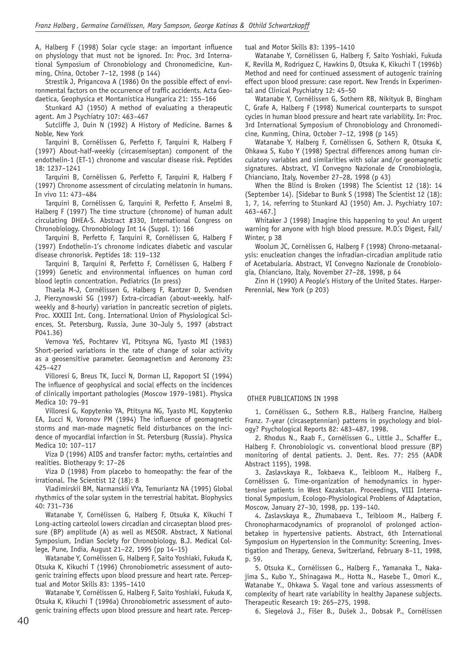A, Halberg F (1998) Solar cycle stage: an important influence on physiology that must not be ignored. In: Proc. 3rd International Symposium of Chronobiology and Chronomedicine, Kunming, China, October 7–12, 1998 (p 144)

Strestik J, Prigancova A (1986) On the possible effect of environmental factors on the occurrence of traffic accidents. Acta Geodaetica, Geophysica et Montanistica Hungarica 21: 155–166

Stunkard AJ (1950) A method of evaluating a therapeutic agent. Am J Psychiatry 107: 463–467

Sutcliffe J, Duin N (1992) A History of Medicine. Barnes & Noble, New York

Tarquini B, Cornélissen G, Perfetto F, Tarquini R, Halberg F (1997) About-half-weekly (circasemiseptan) component of the endothelin-1 (ET-1) chronome and vascular disease risk. Peptides 18: 1237–1241

Tarquini B, Cornélissen G, Perfetto F, Tarquini R, Halberg F (1997) Chronome assessment of circulating melatonin in humans. In vivo 11: 473–484

Tarquini B, Cornélissen G, Tarquini R, Perfetto F, Anselmi B, Halberg F (1997) The time structure (chronome) of human adult circulating DHEA-S. Abstract #330, International Congress on Chronobiology. Chronobiology Int 14 (Suppl. 1): 166

Tarquini B, Perfetto F, Tarquini R, Cornélissen G, Halberg F (1997) Endothelin-1's chronome indicates diabetic and vascular disease chronorisk. Peptides 18: 119–132

Tarquini B, Tarquini R, Perfetto F, Cornélissen G, Halberg F (1999) Genetic and environmental influences on human cord blood leptin concentration. Pediatrics (In press)

Thaela M-J, Cornélissen G, Halberg F, Rantzer D, Svendsen J, Pierzynowski SG (1997) Extra-circadian (about-weekly, halfweekly and 8-hourly) variation in pancreatic secretion of piglets. Proc. XXXIII Int. Cong. International Union of Physiological Sciences, St. Petersburg, Russia, June 30–July 5, 1997 (abstract P041.36)

Vernova YeS, Pochtarev VI, Ptitsyna NG, Tyasto MI (1983) Short-period variations in the rate of change of solar activity as a geosensitive parameter. Geomagnetism and Aeronomy 23: 425–427

Villoresi G, Breus TK, Iucci N, Dorman LI, Rapoport SI (1994) The influence of geophysical and social effects on the incidences of clinically important pathologies (Moscow 1979–1981). Physica Medica 10: 79–91

Villoresi G, Kopytenko YA, Ptitsyna NG, Tyasto MI, Kopytenko EA, Iucci N, Voronov PM (1994) The influence of geomagnetic storms and man-made magnetic field disturbances on the incidence of myocardial infarction in St. Petersburg (Russia). Physica Medica 10: 107–117

Viza D (1996) AIDS and transfer factor: myths, certainties and realities. Biotherapy 9: 17–26

Viza D (1998) From placebo to homeopathy: the fear of the irrational. The Scientist 12 (18): 8

Vladimirskii BM, Narmanskii VYa, Temuriantz NA (1995) Global rhythmics of the solar system in the terrestrial habitat. Biophysics 40: 731–736

Watanabe Y, Cornélissen G, Halberg F, Otsuka K, Kikuchi T Long-acting carteolol lowers circadian and circaseptan blood pressure (BP) amplitude (A) as well as MESOR. Abstract, X National Symposium, Indian Society for Chronobiology, B.J. Medical College, Pune, India, August 21–22, 1995 (pp 14–15)

Watanabe Y, Cornélissen G, Halberg F, Saito Yoshiaki, Fukuda K, Otsuka K, Kikuchi T (1996) Chronobiometric assessment of autogenic training effects upon blood pressure and heart rate. Perceptual and Motor Skills 83: 1395–1410

Watanabe Y, Cornélissen G, Halberg F, Saito Yoshiaki, Fukuda K, Otsuka K, Kikuchi T (1996a) Chronobiometric assessment of autogenic training effects upon blood pressure and heart rate. Perceptual and Motor Skills 83: 1395–1410

Watanabe Y, Cornélissen G, Halberg F, Saito Yoshiaki, Fukuda K, Revilla M, Rodriguez C, Hawkins D, Otsuka K, Kikuchi T (1996b) Method and need for continued assessment of autogenic training effect upon blood pressure: case report. New Trends in Experimental and Clinical Psychiatry 12: 45–50

Watanabe Y, Cornélissen G, Sothern RB, Nikityuk B, Bingham C, Grafe A, Halberg F (1998) Numerical counterparts to sunspot cycles in human blood pressure and heart rate variability. In: Proc. 3rd International Symposium of Chronobiology and Chronomedicine, Kunming, China, October 7–12, 1998 (p 145)

Watanabe Y, Halberg F, Cornélissen G, Sothern R, Otsuka K, Ohkawa S, Kubo Y (1998) Spectral differences among human circulatory variables and similarities with solar and/or geomagnetic signatures. Abstract, VI Convegno Nazionale de Cronobiologia, Chianciano, Italy, November 27–28, 1998 (p 43)

When the Blind is Broken (1998) The Scientist 12 (18): 14 (September 14). [Sidebar to Bunk S (1998) The Scientist 12 (18): 1, 7, 14, referring to Stunkard AJ (1950) Am. J. Psychiatry 107: 463–467.]

Whitaker J (1998) Imagine this happening to you! An urgent warning for anyone with high blood pressure. M.D.'s Digest, Fall/ Winter, p 38

Woolum JC, Cornélissen G, Halberg F (1998) Chrono-metaanalysis: enucleation changes the infradian-circadian amplitude ratio of Acetabularia. Abstract, VI Convegno Nazionale de Cronobiologia, Chianciano, Italy, November 27–28, 1998, p 64

Zinn H (1990) A People's History of the United States. Harper-Perennial, New York (p 203)

#### OTHER PUBLICATIONS IN 1998

1. Cornélissen G., Sothern R.B., Halberg Francine, Halberg Franz. 7-year (circaseptennian) patterns in psychology and biology? Psychological Reports 82: 483–487, 1998.

2. Rhodus N., Raab F., Cornélissen G., Little J., Schaffer E., Halberg F. Chronobiologic vs. conventional blood pressure (BP) monitoring of dental patients. J. Dent. Res. 77: 255 (AADR Abstract 1195), 1998.

3. Zaslavskaya R., Tokbaeva K., Teibloom M., Halberg F., Cornélissen G. Time-organization of hemodynamics in hypertensive patients in West Kazakstan. Proceedings, VIII International Symposium, Ecologo-Physiological Problems of Adaptation, Moscow, January 27–30, 1998, pp. 139–140.

4. Zaslavskaya R., Zhumabaeva T., Teibloom M., Halberg F. Chronopharmacodynamics of propranolol of prolonged actionbetakep in hypertensive patients. Abstract, 6th International Symposium on Hypertension in the Community: Screening, Investigation and Therapy, Geneva, Switzerland, February 8–11, 1998, p. 59.

5. Otsuka K., Cornélissen G., Halberg F., Yamanaka T., Nakajima S., Kubo Y., Shinagawa M., Hotta N., Hasebe T., Omori K., Watanabe Y., Ohkawa S. Vagal tone and various assessments of complexity of heart rate variability in healthy Japanese subjects. Therapeutic Research 19: 265–275, 1998.

6. Siegelová J., Fišer B., Dušek J., Dobsak P., Cornélissen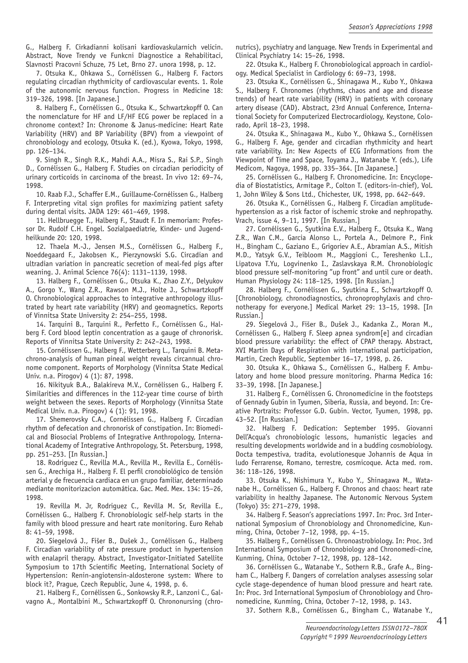G., Halberg F. Cirkadianni kolisani kardiovaskularnich velicin. Abstract, Nove Trendy ve Funkcni Diagnostice a Rehabilitaci, Slavnosti Pracovni Schuze, 75 Let, Brno 27. unora 1998, p. 12.

7. Otsuka K., Ohkawa S., Cornélissen G., Halberg F. Factors regulating circadian rhythmicity of cardiovascular events. 1. Role of the autonomic nervous function. Progress in Medicine 18: 319–326, 1998. [In Japanese.]

8. Halberg F., Cornélissen G., Otsuka K., Schwartzkopff O. Can the nomenclature for HF and LF/HF ECG power be replaced in a chronome context? In: Chronome & Janus-medicine: Heart Rate Variability (HRV) and BP Variability (BPV) from a viewpoint of chronobiology and ecology, Otsuka K. (ed.), Kyowa, Tokyo, 1998, pp. 126–134.

9. Singh R., Singh R.K., Mahdi A.A., Misra S., Rai S.P., Singh D., Cornélissen G., Halberg F. Studies on circadian periodicity of urinary corticoids in carcinoma of the breast. In vivo 12: 69–74, 1998.

10. Raab F.J., Schaffer E.M., Guillaume-Cornélissen G., Halberg F. Interpreting vital sign profiles for maximizing patient safety during dental visits. JADA 129: 461–469, 1998.

11. Hellbruegge T., Halberg F., Staudt F. In memoriam: Professor Dr. Rudolf C.H. Engel. Sozialpaediatrie, Kinder- und Jugendheilkunde 20: 120, 1998.

12. Thaela M.-J., Jensen M.S., Cornélissen G., Halberg F., Noeddegaard F., Jakobsen K., Pierzynowski S.G. Circadian and ultradian variation in pancreatic secretion of meal-fed pigs after weaning. J. Animal Science 76(4): 1131–1139, 1998.

13. Halberg F., Cornélissen G., Otsuka K., Zhao Z.Y., Delyukov A., Gorgo Y., Wang Z.R., Rawson M.J., Holte J., Schwartzkopff O. Chronobiological approaches to integrative anthropology illustrated by heart rate variability (HRV) and geomagnetics. Reports of Vinnitsa State University 2: 254–255, 1998.

14. Tarquini B., Tarquini R., Perfetto F., Cornélissen G., Halberg F. Cord blood leptin concentration as a gauge of chronorisk. Reports of Vinnitsa State University 2: 242–243, 1998.

15. Cornélissen G., Halberg F., Wetterberg L., Tarquini B. Metachrono-analysis of human pineal weight reveals circannual chronome component. Reports of Morphology (Vinnitsa State Medical Univ. n.a. Pirogov) 4 (1): 87, 1998.

16. Nikityuk B.A., Balakireva M.V., Cornélissen G., Halberg F. Similarities and differences in the 112-year time course of birth weight between the sexes. Reports of Morphology (Vinnitsa State Medical Univ. n.a. Pirogov) 4 (1): 91, 1998.

17. Shemerovsky C.A., Cornélissen G., Halberg F. Circadian rhythm of defecation and chronorisk of constipation. In: Biomedical and Biosocial Problems of Integrative Anthropology, International Academy of Integrative Anthropology, St. Petersburg, 1998, pp. 251–253. [In Russian.]

18. Rodriguez C., Revilla M.A., Revilla M., Revilla E., Cornélissen G., Arechiga H., Halberg F. El perfil cronobiológico de tensión arterial y de frecuencia cardiaca en un grupo familiar, determinado mediante monitorizacion automática. Gac. Med. Mex. 134: 15–26, 1998.

19. Revilla M. Jr, Rodriguez C., Revilla M. Sr, Revilla E., Cornélissen G., Halberg F. Chronobiologic self-help starts in the family with blood pressure and heart rate monitoring. Euro Rehab 8: 41–59, 1998.

20. Siegelová J., Fišer B., Dušek J., Cornélissen G., Halberg F. Circadian variability of rate pressure product in hypertension with enalapril therapy. Abstract, Investigator-Initiated Satellite Symposium to 17th Scientific Meeting, International Society of Hypertension: Renin-angiotensin-aldosterone system: Where to block it?, Prague, Czech Republic, June 4, 1998, p. 6.

21. Halberg F., Cornélissen G., Sonkowsky R.P., Lanzoni C., Galvagno A., Montalbini M., Schwartzkopff O. Chrononursing (chronutrics), psychiatry and language. New Trends in Experimental and Clinical Psychiatry 14: 15–26, 1998.

22. Otsuka K., Halberg F. Chronobiological approach in cardiology. Medical Specialist in Cardiology 6: 69–73, 1998.

23. Otsuka K., Cornélissen G., Shinagawa M., Kubo Y., Ohkawa S., Halberg F. Chronomes (rhythms, chaos and age and disease trends) of heart rate variability (HRV) in patients with coronary artery disease (CAD). Abstract, 23rd Annual Conference, International Society for Computerized Electrocardiology, Keystone, Colorado, April 18–23, 1998.

24. Otsuka K., Shinagawa M., Kubo Y., Ohkawa S., Cornélissen G., Halberg F. Age, gender and circadian rhythmicity and heart rate variability. In: New Aspects of ECG Informations from the Viewpoint of Time and Space, Toyama J., Watanabe Y. (eds.), Life Medicom, Nagoya, 1998, pp. 335–364. [In Japanese.]

25. Cornélissen G., Halberg F. Chronomedicine. In: Encyclopedia of Biostatistics, Armitage P., Colton T. (editors-in-chief), Vol. 1, John Wiley & Sons Ltd., Chichester, UK, 1998, pp. 642–649.

26. Otsuka K., Cornélissen G., Halberg F. Circadian amplitudehypertension as a risk factor of ischemic stroke and nephropathy. Vrach, issue 4, 9–11, 1997. [In Russian.]

27. Cornélissen G., Syutkina E.V., Halberg F., Otsuka K., Wang Z.R., Wan C.M., Garcia Alonso L., Portela A., Delmore P., Fink H., Bingham C., Gaziano E., Grigoriev A.E., Abramian A.S., Mitish M.D., Yatsyk G.V., Teibloom M., Maggioni C., Tereshenko L.I., Lipatova T.Yu, Logvinenko I., Zaslavskaya R.M. Chronobiologic blood pressure self-monitoring "up front" and until cure or death. Human Physiology 24: 118–125, 1998. [In Russian.]

28. Halberg F., Cornélissen G., Syutkina E., Schwartzkopff O. [Chronobiology, chronodiagnostics, chronoprophylaxis and chronotherapy for everyone.] Medical Market 29: 13–15, 1998. [In Russian.]

29. Siegelová J., Fišer B., Dušek J., Kadanka Z., Moran M., Cornélissen G., Halberg F. Sleep apnea syndrom[e] and circadian blood pressure variability: the effect of CPAP therapy. Abstract, XVI Martin Days of Respiration with international participation, Martin, Czech Republic, September 16–17, 1998, p. 26.

30. Otsuka K., Ohkawa S., Cornélissen G., Halberg F. Ambulatory and home blood pressure monitoring. Pharma Medica 16: 33–39, 1998. [In Japanese.]

31. Halberg F., Cornélissen G. Chronomedicine in the footsteps of Gennady Gubin in Tyumen, Siberia, Russia, and beyond. In: Creative Portraits: Professor G.D. Gubin. Vector, Tyumen, 1998, pp. 43–52. [In Russian.]

32. Halberg F. Dedication: September 1995. Giovanni Dell'Acqua's chronobiologic lessons, humanistic legacies and resulting developments worldwide and in a budding cosmobiology. Docta tempestiva, tradita, evolutionesque Johannis de Aqua in ludo Ferrarense, Romano, terrestre, cosmicoque. Acta med. rom. 36: 118–126, 1998.

33. Otsuka K., Nishimura Y., Kubo Y., Shinagawa M., Watanabe H., Cornélissen G., Halberg F. Chronos and chaos: heart rate variability in healthy Japanese. The Autonomic Nervous System (Tokyo) 35: 271–279, 1998.

34. Halberg F. Season's appreciations 1997. In: Proc. 3rd International Symposium of Chronobiology and Chronomedicine, Kunming, China, October 7–12, 1998, pp. 4–15.

35. Halberg F., Cornélissen G. Chronoastrobiology. In: Proc. 3rd International Symposium of Chronobiology and Chronomedi-cine, Kunming, China, October 7–12, 1998, pp. 128–142.

36. Cornélissen G., Watanabe Y., Sothern R.B., Grafe A., Bingham C., Halberg F. Dangers of correlation analyses assessing solar cycle stage-dependence of human blood pressure and heart rate. In: Proc. 3rd International Symposium of Chronobiology and Chronomedicine, Kunming, China, October 7–12, 1998, p. 143.

37. Sothern R.B., Cornélissen G., Bingham C., Watanabe Y.,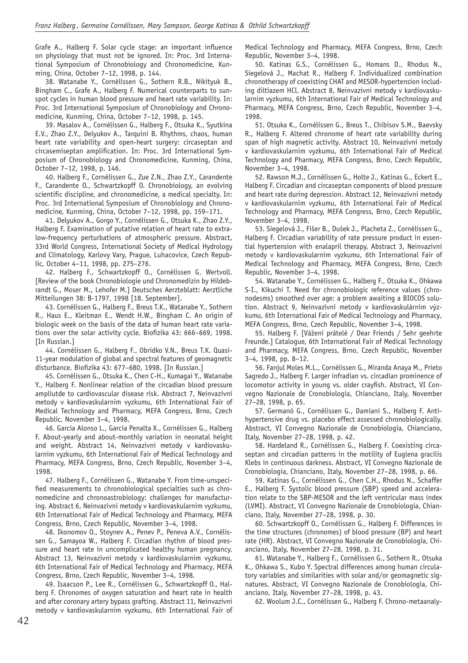Grafe A., Halberg F. Solar cycle stage: an important influence on physiology that must not be ignored. In: Proc. 3rd International Symposium of Chronobiology and Chronomedicine, Kunming, China, October 7–12, 1998, p. 144.

38. Watanabe Y., Cornélissen G., Sothern R.B., Nikityuk B., Bingham C., Grafe A., Halberg F. Numerical counterparts to sunspot cycles in human blood pressure and heart rate variability. In: Proc. 3rd International Symposium of Chronobiology and Chronomedicine, Kunming, China, October 7–12, 1998, p. 145.

39. Masalov A., Cornélissen G., Halberg F., Otsuka K., Syutkina E.V., Zhao Z.Y., Delyukov A., Tarquini B. Rhythms, chaos, human heart rate variability and open-heart surgery: circaseptan and circasemiseptan amplification. In: Proc. 3rd International Symposium of Chronobiology and Chronomedicine, Kunming, China, October 7–12, 1998, p. 146.

40. Halberg F., Cornélissen G., Zue Z.N., Zhao Z.Y., Carandente F., Carandente O., Schwartzkopff O. Chronobiology, an evolving scientific discipline, and chronomedicine, a medical specialty. In: Proc. 3rd International Symposium of Chronobiology and Chronomedicine, Kunming, China, October 7–12, 1998, pp. 159–171.

41. Delyukov A., Gorgo Y., Cornélissen G., Otsuka K., Zhao Z.Y., Halberg F. Examination of putative relation of heart rate to extralow-frequency perturbations of atmospheric pressure. Abstract, 33rd World Congress, International Society of Medical Hydrology and Climatology, Karlovy Vary, Prague, Luhacovice, Czech Republic, October 4–11, 1998, pp. 275–276.

42. Halberg F., Schwartzkopff O., Cornélissen G. Wertvoll. [Review of the book Chronobiologie und Chronomedizin by Hildebrandt G., Moser M., Lehofer M.] Deutsches Aerzteblatt: Aerztliche Mitteilungen 38: B-1797, 1998 [18. September].

43. Cornélissen G., Halberg F., Breus T.K., Watanabe Y., Sothern R., Haus E., Kleitman E., Wendt H.W., Bingham C. An origin of biologic week on the basis of the data of human heart rate variations over the solar activity cycle. Biofizika 43: 666-669, 1998. [In Russian.]

44. Cornélissen G., Halberg F., Obridko V.N., Breus T.K. Quasi-11-year modulation of global and spectral features of geomagnetic disturbance. Biofizika 43: 677-680, 1998. [In Russian.]

45. Cornélissen G., Otsuka K., Chen C-H., Kumagai Y., Watanabe Y., Halberg F. Nonlinear relation of the circadian blood pressure ampliutde to cardiovascular disease risk. Abstract 7, Neinvazivni metody v kardiovaskularnim vyzkumu, 6th International Fair of Medical Technology and Pharmacy, MEFA Congress, Brno, Czech Republic, November 3–4, 1998.

46. Garcia Alonso L., Garcia Penalta X., Cornélissen G., Halberg F. About-yearly and about-monthly variation in neonatal height and weight. Abstract 14, Neinvazivni metody v kardiovaskularnim vyzkumu, 6th International Fair of Medical Technology and Pharmacy, MEFA Congress, Brno, Czech Republic, November 3–4, 1998.

47. Halberg F., Cornélissen G., Watanabe Y. From time-unspecified measurements to chronobiological specialties such as chronomedicine and chronoastrobiology: challenges for manufacturing. Abstract 6, Neinvazivni metody v kardiovaskularnim vyzkumu, 6th International Fair of Medical Technology and Pharmacy, MEFA Congress, Brno, Czech Republic, November 3–4, 1998.

48. Ikonomov O., Stoynev A., Penev P., Peneva A.V., Cornélissen G., Samayoa W., Halberg F. Circadian rhythm of blood pressure and heart rate in uncomplicated healthy human pregnancy. Abstract 13, Neinvazivni metody v kardiovaskularnim vyzkumu, 6th International Fair of Medical Technology and Pharmacy, MEFA Congress, Brno, Czech Republic, November 3–4, 1998.

49. Isaacson P., Lee R., Cornélissen G., Schwartzkopff O., Halberg F. Chronomes of oxygen saturation and heart rate in health and after coronary artery bypass grafting. Abstract 11, Neinvazivni metody v kardiovaskularnim vyzkumu, 6th International Fair of Medical Technology and Pharmacy, MEFA Congress, Brno, Czech Republic, November 3–4, 1998.

50. Katinas G.S., Cornélissen G., Homans D., Rhodus N., Siegelová J., Machat R., Halberg F. Individualized combination chronotherapy of coexisting CHAT and MESOR-hypertension including diltiazem HCl. Abstract 8, Neinvazivni metody v kardiovaskularnim vyzkumu, 6th International Fair of Medical Technology and Pharmacy, MEFA Congress, Brno, Czech Republic, November 3–4, 1998.

51. Otsuka K., Cornélissen G., Breus T., Chibisov S.M., Baevsky R., Halberg F. Altered chronome of heart rate variability during span of high magnetic activity. Abstract 10, Neinvazivni metody v kardiovaskularnim vyzkumu, 6th International Fair of Medical Technology and Pharmacy, MEFA Congress, Brno, Czech Republic, November 3–4, 1998.

52. Rawson M.J., Cornélissen G., Holte J., Katinas G., Eckert E., Halberg F. Circadian and circaseptan components of blood pressure and heart rate during depression. Abstract 12, Neinvazivni metody v kardiovaskularnim vyzkumu, 6th International Fair of Medical Technology and Pharmacy, MEFA Congress, Brno, Czech Republic, November 3–4, 1998.

53. Siegelová J., Fišer B., Dušek J., Placheta Z., Cornélissen G., Halberg F. Circadian variability of rate pressure product in essential hypertension with enalapril therapy. Abstract 3, Neinvazivni metody v kardiovaskularnim vyzkumu, 6th International Fair of Medical Technology and Pharmacy, MEFA Congress, Brno, Czech Republic, November 3–4, 1998.

54. Watanabe Y., Cornélissen G., Halberg F., Otsuka K., Ohkawa S-I., Kikuchi T. Need for chronobiologic reference values (chronodesms) smoothed over age: a problem awaiting a BIOCOS solution. Abstract 9, Neinvazívní metody v kardiovaskulárním výzkumu, 6th International Fair of Medical Technology and Pharmacy, MEFA Congress, Brno, Czech Republic, November 3–4, 1998.

55. Halberg F. [Vážení prátelé / Dear Friends / Sehr geehrte Freunde.] Catalogue, 6th International Fair of Medical Technology and Pharmacy, MEFA Congress, Brno, Czech Republic, November 3–4, 1998, pp. 8–12.

56. Fanjul Moles M.L., Cornélissen G., Miranda Anaya M., Prieto Sagredo J., Halberg F. Larger infradian vs. circadian prominence of locomotor activity in young vs. older crayfish. Abstract, VI Convegno Nazionale de Cronobiologia, Chianciano, Italy, November 27–28, 1998, p. 65.

57. Germanó G., Cornélissen G., Damiani S., Halberg F. Antihypertensive drug vs. placebo effect assessed chronobiologically. Abstract, VI Convegno Nazionale de Cronobiologia, Chianciano, Italy, November 27–28, 1998, p. 42.

58. Hardeland R., Cornélissen G., Halberg F. Coexisting circaseptan and circadian patterns in the motility of Euglena gracilis Klebs in continuous darkness. Abstract, VI Convegno Nazionale de Cronobiologia, Chianciano, Italy, November 27–28, 1998, p. 66.

59. Katinas G., Cornélissen G., Chen C.H., Rhodus N., Schaffer E., Halberg F. Systolic blood pressure (SBP) speed and acceleration relate to the SBP-MESOR and the left ventricular mass index (LVMI). Abstract, VI Convegno Nazionale de Cronobiologia, Chianciano, Italy, November 27–28, 1998, p. 30.

60. Schwartzkopff O., Cornélissen G., Halberg F. Differences in the time structures (chronomes) of blood pressure (BP) and heart rate (HR). Abstract, VI Convegno Nazionale de Cronobiologia, Chianciano, Italy, November 27–28, 1998, p. 31.

61. Watanabe Y., Halberg F., Cornélissen G., Sothern R., Otsuka K., Ohkawa S., Kubo Y. Spectral differences among human circulatory variables and similarities with solar and/or geomagnetic signatures. Abstract, VI Convegno Nazionale de Cronobiologia, Chianciano, Italy, November 27–28, 1998, p. 43.

62. Woolum J.C., Cornélissen G., Halberg F. Chrono-metaanaly-